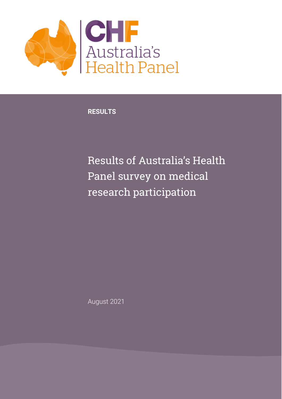

**RESULTS**

Results of Australia's Health Panel survey on medical research participation

August 2021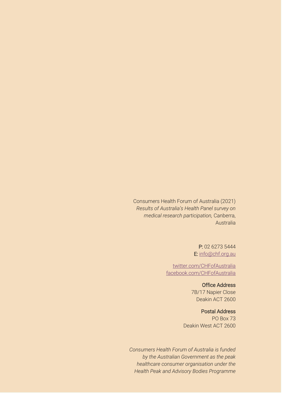Consumers Health Forum of Australia (2021) *Results of Australia's Health Panel survey on medical research participation,* Canberra, Australia

> P: 02 6273 5444 E: [info@chf.org.au](mailto:info@chf.org.au)

[twitter.com/CHFofAustralia](http://twitter.com/CHFofAustralia)  [facebook.com/CHFofAustralia](http://facebook.com/CHFofAustralia)

> Office Address 7B/17 Napier Close Deakin ACT 2600

Postal Address PO Box 73 Deakin West ACT 2600

*Consumers Health Forum of Australia is funded by the Australian Government as the peak healthcare consumer organisation under the Health Peak and Advisory Bodies Programme*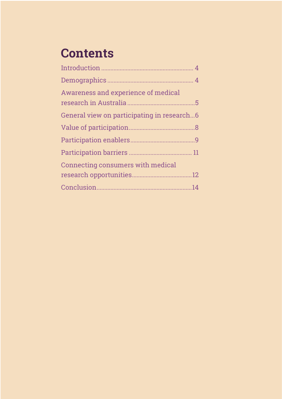# **Contents**

| Awareness and experience of medical        |  |
|--------------------------------------------|--|
|                                            |  |
| General view on participating in research6 |  |
|                                            |  |
|                                            |  |
|                                            |  |
| <b>Connecting consumers with medical</b>   |  |
|                                            |  |
|                                            |  |
|                                            |  |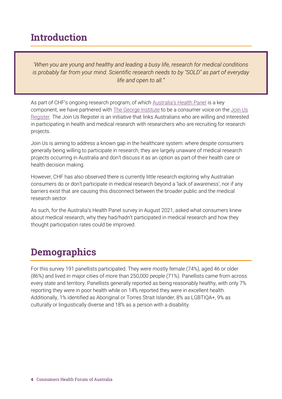#### <span id="page-3-0"></span>Introduction

*'When you are young and healthy and leading a busy life, research for medical conditions is probably far from your mind. Scientific research needs to by "SOLD" as part of everyday life and open to all."*

As part of CHF's ongoing research program, of which **[Australia's Health Panel](https://chf.engageable.net/dashboard)** is a key component, we have partnered with [The George Institute](https://www.georgeinstitute.org/) to be a consumer voice on the Join Us [Register.](https://www.joinus.org.au/) The Join Us Register is an initiative that links Australians who are willing and interested in participating in health and medical research with researchers who are recruiting for research projects.

Join Us is aiming to address a known gap in the healthcare system: where despite consumers generally being willing to participate in research, they are largely unaware of medical research projects occurring in Australia and don't discuss it as an option as part of their health care or health decision making.

However, CHF has also observed there is currently little research exploring why Australian consumers do or don't participate in medical research beyond a 'lack of awareness', nor if any barriers exist that are causing this disconnect between the broader public and the medical research sector.

As such, for the Australia's Health Panel survey in August 2021, asked what consumers knew about medical research, why they had/hadn't participated in medical research and how they thought participation rates could be improved.

#### <span id="page-3-1"></span>**Demographics**

For this survey 191 panellists participated. They were mostly female (74%), aged 46 or older (86%) and lived in major cities of more than 250,000 people (71%). Panellists came from across every state and territory. Panellists generally reported as being reasonably healthy, with only 7% reporting they were in poor health while on 14% reported they were in excellent health. Additionally, 1% identified as Aboriginal or Torres Strait Islander, 8% as LGBTIQA+, 9% as culturally or linguistically diverse and 18% as a person with a disability.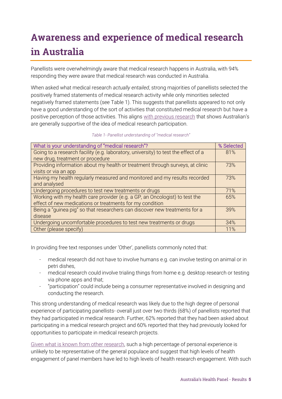# <span id="page-4-0"></span>Awareness and experience of medical research in Australia

Panellists were overwhelmingly aware that medical research happens in Australia, with 94% responding they were aware that medical research was conducted in Australia.

When asked what medical research *actually entailed*, strong majorities of panellists selected the positively framed statements of medical research activity while only minorities selected negatively framed statements (see Table 1). This suggests that panellists appeared to not only have a good understanding of the sort of activities that constituted medical research but have a positive perception of those activities. This aligns [with previous research](https://researchaustralia.org/wp-content/uploads/2017/08/2017-Opinion-Poll-Digital.pdf) that shows Australian's are generally supportive of the idea of medical research participation.

| Table 1- Panellist understanding of "medical research" |  |  |
|--------------------------------------------------------|--|--|
|                                                        |  |  |

| What is your understanding of "medical research"?                                  | % Selected |
|------------------------------------------------------------------------------------|------------|
| Going to a research facility (e.g. laboratory, university) to test the effect of a | 81%        |
| new drug, treatment or procedure                                                   |            |
| Providing information about my health or treatment through surveys, at clinic      | 73%        |
| visits or via an app                                                               |            |
| Having my health regularly measured and monitored and my results recorded          | 73%        |
| and analysed                                                                       |            |
| Undergoing procedures to test new treatments or drugs                              | 71%        |
| Working with my health care provider (e.g. a GP, an Oncologist) to test the        | 65%        |
| effect of new medications or treatments for my condition                           |            |
| Being a "guinea pig" so that researchers can discover new treatments for a         | 39%        |
| disease                                                                            |            |
| Undergoing uncomfortable procedures to test new treatments or drugs                | 34%        |
| Other (please specify)                                                             | 11%        |

In providing free text responses under 'Other', panellists commonly noted that:

- medical research did not have to involve humans e.g. can involve testing on animal or in petri dishes,
- medical research could involve trialing things from home e.g. desktop research or testing via phone apps and that;
- "participation" could include being a consumer representative involved in designing and conducting the research.

This strong understanding of medical research was likely due to the high degree of personal experience of participating panellists- overall just over two thirds (68%) of panellists reported that they had participated in medical research. Further, 62% reported that they had been asked about participating in a medical research project and 60% reported that they had previously looked for opportunities to participate in medical research projects.

[Given what is known from other research,](https://www1.health.gov.au/internet/main/publishing.nsf/Content/EE207D978A44E4B8CA257FA90081B212/$File/EY%20Final%20Report%20-%20Recruitment%20and%20retention%20in%20Australian%20clinical%20trials%2030%20June%202016.pdf) such a high percentage of personal experience is unlikely to be representative of the general populace and suggest that high levels of health engagement of panel members have led to high levels of health research engagement. With such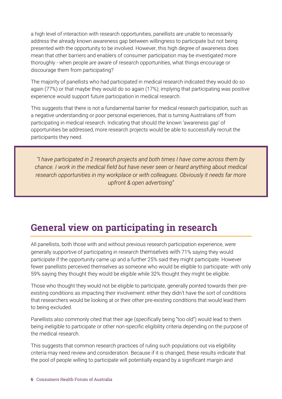a high level of interaction with research opportunities, panellists are unable to necessarily address the already known awareness gap between willingness to participate but not being presented with the opportunity to be involved. However, this high degree of awareness does mean that other barriers and enablers of consumer participation may be investigated more thoroughly - when people *are* aware of research opportunities, what things encourage or discourage them from participating?

The majority of panellists who had participated in medical research indicated they would do so again (77%) or that maybe they would do so again (17%); implying that participating was positive experience would support future participation in medical research.

This suggests that there is not a fundamental barrier for medical research participation, such as a negative understanding or poor personal experiences, that is turning Australians off from participating in medical research. Indicating that should the known 'awareness gap' of opportunities be addressed, more research projects would be able to successfully recruit the participants they need.

*"I have participated in 2 research projects and both times I have come across them by chance. I work in the medical field but have never seen or heard anything about medical research opportunities in my workplace or with colleagues. Obviously it needs far more upfront & open advertising"*

#### <span id="page-5-0"></span>General view on participating in research

All panellists, both those with and without previous research participation experience, were generally supportive of participating in research themselves with 71% saying they would participate if the opportunity came up and a further 25% said they might participate. However fewer panellists perceived themselves as someone who would be eligible to participate- with only 59% saying they thought they would be eligible while 32% thought they might be eligible.

Those who thought they would not be eligible to participate, generally pointed towards their preexisting conditions as impacting their involvement: either they didn't have the sort of conditions that researchers would be looking at or their other pre-existing conditions that would lead them to being excluded.

Panellists also commonly cited that their age (specifically being "too old") would lead to them being ineligible to participate or other non-specific eligibility criteria depending on the purpose of the medical research.

This suggests that common research practices of ruling such populations out via eligibility criteria may need review and consideration. Because if it is changed, these results indicate that the pool of people willing to participate will potentially expand by a significant margin and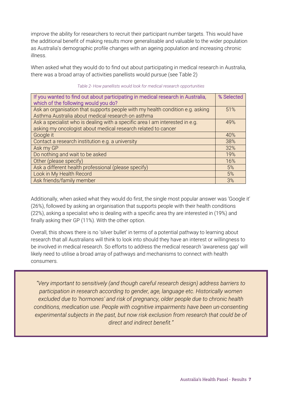improve the ability for researchers to recruit their participant number targets. This would have the additional benefit of making results more generalisable and valuable to the wider population as Australia's demographic profile changes with an ageing population and increasing chronic illness.

When asked what they would do to find out about participating in medical research in Australia, there was a broad array of activities panellists would pursue (see Table 2)

| If you wanted to find out about participating in medical research in Australia,<br>which of the following would you do?                       | % Selected |
|-----------------------------------------------------------------------------------------------------------------------------------------------|------------|
| Ask an organisation that supports people with my health condition e.g. asking<br>Asthma Australia about medical research on asthma            | 51%        |
| Ask a specialist who is dealing with a specific area I am interested in e.g.<br>asking my oncologist about medical research related to cancer | 49%        |
| Google it                                                                                                                                     | 40%        |
| Contact a research institution e.g. a university                                                                                              | 38%        |
| Ask my GP                                                                                                                                     | 32%        |
| Do nothing and wait to be asked                                                                                                               | 19%        |
| Other (please specify)                                                                                                                        | 16%        |
| Ask a different health professional (please specify)                                                                                          | 5%         |
| Look in My Health Record                                                                                                                      | 5%         |
| Ask friends/family member                                                                                                                     | 3%         |

*Table 2- How panellists would look for medical research opportunities*

Additionally, when asked what they would do first, the single most popular answer was 'Google it' (26%), followed by asking an organisation that supports people with their health conditions (22%), asking a specialist who is dealing with a specific area thy are interested in (19%) and finally asking their GP (11%). With the other option.

Overall, this shows there is no 'silver bullet' in terms of a potential pathway to learning about research that all Australians will think to look into should they have an interest or willingness to be involved in medical research. So efforts to address the medical research 'awareness gap' will likely need to utilise a broad array of pathways and mechanisms to connect with health consumers.

*"Very important to sensitively (and though careful research design) address barriers to participation in research according to gender, age, language etc. Historically women excluded due to 'hormones' and risk of pregnancy, older people due to chronic health conditions, medication use. People with cognitive impairments have been un-consenting experimental subjects in the past, but now risk exclusion from research that could be of direct and indirect benefit."*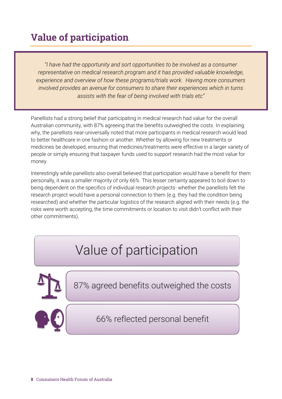## <span id="page-7-0"></span>Value of participation

*"I have had the opportunity and sort opportunities to be involved as a consumer representative on medical research program and it has provided valuable knowledge, experience and overview of how these programs/trials work. Having more consumers involved provides an avenue for consumers to share their experiences which in turns assists with the fear of being involved with trials etc"*

Panellists had a strong belief that participating in medical research had value for the overall Australian community, with 87% agreeing that the benefits outweighed the costs. In explaining why, the panellists near-universally noted that more participants in medical research would lead to better healthcare in one fashion or another. Whether by allowing for new treatments or medicines be developed, ensuring that medicines/treatments were effective in a larger variety of people or simply ensuring that taxpayer funds used to support research had the most value for money.

Interestingly while panellists also overall believed that participation would have a benefit for them personally, it was a smaller majority of only 66%. This lesser certainty appeared to boil down to being dependent on the specifics of individual research projects- whether the panellists felt the research project would have a personal connection to them (e.g. they had the condition being researched) and whether the particular logistics of the research aligned with their needs (e.g. the risks were worth accepting, the time commitments or location to visit didn't conflict with their other commitments).

# Value of participation

87% agreed benefits outweighed the costs



66% reflected personal benefit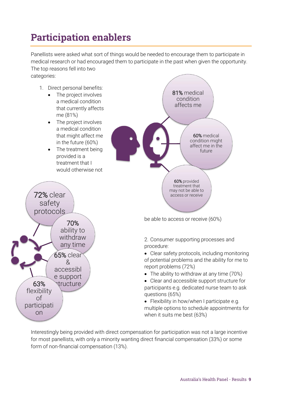### <span id="page-8-0"></span>Participation enablers

Panellists were asked what sort of things would be needed to encourage them to participate in medical research or had encouraged them to participate in the past when given the opportunity. The top reasons fell into two categories:

- 1. Direct personal benefits:
	- The project involves a medical condition that currently affects me (81%)
	- The project involves a medical condition that might affect me in the future (60%)
	- The treatment being provided is a treatment that I would otherwise not





be able to access or receive (60%)

2. Consumer supporting processes and procedure:

• Clear safety protocols, including monitoring of potential problems and the ability for me to report problems (72%)

• The ability to withdraw at any time (70%)

• Clear and accessible support structure for participants e.g. dedicated nurse team to ask questions (65%)

• Flexibility in how/when I participate e.g. multiple options to schedule appointments for when it suits me best (63%)

Interestingly being provided with direct compensation for participation was not a large incentive for most panellists, with only a minority wanting direct financial compensation (33%) or some form of non-financial compensation (13%).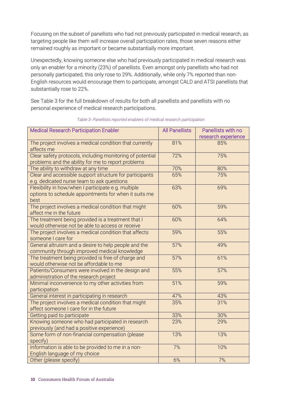Focusing on the subset of panellists who had not previously participated in medical research, as targeting people like them will increase overall participation rates, those seven reasons either remained roughly as important or became substantially more important.

Unexpectedly, knowing someone else who had previously participated in medical research was only an enabler for a minority (23%) of panellists. Even amongst only panellists who had not personally participated, this only rose to 29%. Additionally, while only 7% reported than non-English resources would encourage them to participate, amongst CALD and ATSI panellists that substantially rose to 22%.

See Table 3 for the full breakdown of results for both all panellists and panellists with no personal experience of medical research participations.

| <b>Medical Research Participation Enabler</b>             | <b>All Panellists</b> | Panellists with no  |
|-----------------------------------------------------------|-----------------------|---------------------|
|                                                           |                       | research experience |
| The project involves a medical condition that currently   | 81%                   | 85%                 |
| affects me                                                |                       |                     |
| Clear safety protocols, including monitoring of potential | 72%                   | 75%                 |
| problems and the ability for me to report problems        |                       |                     |
| The ability to withdraw at any time                       | 70%                   | 80%                 |
| Clear and accessible support structure for participants   | 65%                   | 75%                 |
| e.g. dedicated nurse team to ask questions                |                       |                     |
| Flexibility in how/when I participate e.g. multiple       | 63%                   | 69%                 |
| options to schedule appointments for when it suits me     |                       |                     |
| best                                                      |                       |                     |
| The project involves a medical condition that might       | 60%                   | 59%                 |
| affect me in the future                                   |                       |                     |
| The treatment being provided is a treatment that I        | 60%                   | 64%                 |
| would otherwise not be able to access or receive          |                       |                     |
| The project involves a medical condition that affects     | 59%                   | 55%                 |
| someone I care for                                        |                       |                     |
| General altruism and a desire to help people and the      | 57%                   | 49%                 |
| community through improved medical knowledge              |                       |                     |
| The treatment being provided is free of charge and        | 57%                   | 61%                 |
| would otherwise not be affordable to me                   |                       |                     |
| Patients/Consumers were involved in the design and        | 55%                   | 57%                 |
| administration of the research project                    |                       |                     |
| Minimal inconvenience to my other activities from         | 51%                   | 59%                 |
| participation                                             |                       |                     |
| General interest in participating in research             | 47%                   | 43%                 |
| The project involves a medical condition that might       | 35%                   | 31%                 |
| affect someone I care for in the future                   |                       |                     |
| Getting paid to participate                               | 33%                   | 30%                 |
| Knowing someone who had participated in research          | 23%                   | 29%                 |
| previously (and had a positive experience)                |                       |                     |
| Some form of non-financial compensation (please           | 13%                   | 13%                 |
| specify)                                                  |                       |                     |
| Information is able to be provided to me in a non-        | 7%                    | 10%                 |
| English language of my choice                             |                       |                     |
| Other (please specify)                                    | 6%                    | 7%                  |

#### *Table 3- Panellists reported enablers of medical research participation*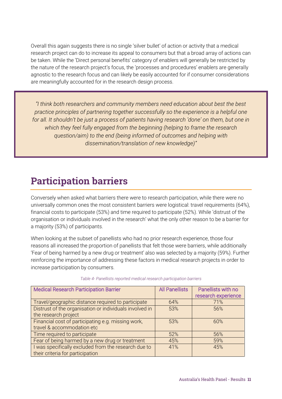Overall this again suggests there is no single 'silver bullet' of action or activity that a medical research project can do to increase its appeal to consumers but that a broad array of actions can be taken. While the 'Direct personal benefits' category of enablers will generally be restricted by the nature of the research project's focus, the 'processes and procedures' enablers are generally agnostic to the research focus and can likely be easily accounted for if consumer considerations are meaningfully accounted for in the research design process.

*"I think both researchers and community members need education about best the best practice principles of partnering together successfully so the experience is a helpful one for all. It shouldn't be just a process of patients having research 'done' on them, but one in which they feel fully engaged from the beginning (helping to frame the research question/aim) to the end (being informed of outcomes and helping with dissemination/translation of new knowledge)"*

### <span id="page-10-0"></span>Participation barriers

Conversely when asked what barriers there were to research participation, while there were no universally common ones the most consistent barriers were logistical: travel requirements (64%), financial costs to participate (53%) and time required to participate (52%). While 'distrust of the organisation or individuals involved in the research' what the only other reason to be a barrier for a majority (53%) of participants.

When looking at the subset of panellists who had no prior research experience, those four reasons all increased the proportion of panellists that felt those were barriers, while additionally 'Fear of being harmed by a new drug or treatment' also was selected by a majority (59%). Further reinforcing the importance of addressing these factors in medical research projects in order to increase participation by consumers.

| <b>Medical Research Participation Barrier</b>           | <b>All Panellists</b> | Panellists with no<br>research experience |
|---------------------------------------------------------|-----------------------|-------------------------------------------|
| Travel/geographic distance required to participate      | 64%                   | 71%                                       |
| Distrust of the organisation or individuals involved in | 53%                   | 56%                                       |
| the research project                                    |                       |                                           |
| Financial cost of participating e.g. missing work,      | 53%                   | 60%                                       |
| travel & accommodation etc                              |                       |                                           |
| Time required to participate                            | 52%                   | 56%                                       |
| Fear of being harmed by a new drug or treatment         | 45%                   | 59%                                       |
| I was specifically excluded from the research due to    | 41%                   | 45%                                       |
| their criteria for participation                        |                       |                                           |

#### *Table 4- Panellists reported medical research participation barriers*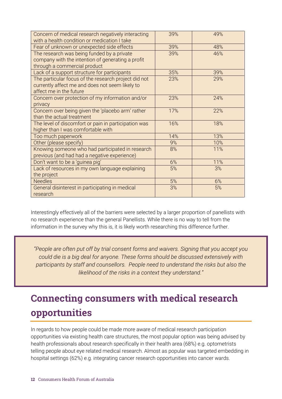| Concern of medical research negatively interacting<br>with a health condition or medication I take | 39% | 49% |
|----------------------------------------------------------------------------------------------------|-----|-----|
| Fear of unknown or unexpected side effects                                                         | 39% | 48% |
| The research was being funded by a private                                                         | 39% | 46% |
| company with the intention of generating a profit                                                  |     |     |
| through a commercial product                                                                       |     |     |
| Lack of a support structure for participants                                                       | 35% | 39% |
| The particular focus of the research project did not                                               | 23% | 29% |
| currently affect me and does not seem likely to                                                    |     |     |
| affect me in the future                                                                            |     |     |
| Concern over protection of my information and/or                                                   | 23% | 24% |
| privacy                                                                                            |     |     |
| Concern over being given the 'placebo arm' rather                                                  | 17% | 22% |
| than the actual treatment                                                                          |     |     |
| The level of discomfort or pain in participation was                                               | 16% | 18% |
| higher than I was comfortable with                                                                 |     |     |
| Too much paperwork                                                                                 | 14% | 13% |
| Other (please specify)                                                                             | 9%  | 10% |
| Knowing someone who had participated in research                                                   | 8%  | 11% |
| previous (and had had a negative experience)                                                       |     |     |
| Don't want to be a 'guinea pig'                                                                    | 6%  | 11% |
| Lack of resources in my own language explaining                                                    | 5%  | 3%  |
| the project                                                                                        |     |     |
| <b>Needles</b>                                                                                     | 5%  | 6%  |
| General disinterest in participating in medical                                                    | 3%  | 5%  |
| research                                                                                           |     |     |

Interestingly effectively all of the barriers were selected by a larger proportion of panellists with no research experience than the general Panellists. While there is no way to tell from the information in the survey why this is, it is likely worth researching this difference further.

*"People are often put off by trial consent forms and waivers. Signing that you accept you could die is a big deal for anyone. These forms should be discussed extensively with participants by staff and counsellors. People need to understand the risks but also the likelihood of the risks in a context they understand."*

## <span id="page-11-0"></span>Connecting consumers with medical research opportunities

In regards to how people could be made more aware of medical research participation opportunities via existing health care structures, the most popular option was being advised by health professionals about research specifically in their health area (68%) e.g. optometrists telling people about eye related medical research. Almost as popular was targeted embedding in hospital settings (62%) e.g. integrating cancer research opportunities into cancer wards.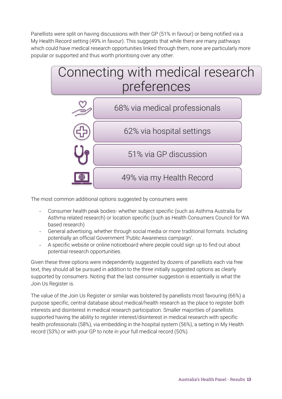Panellists were split on having discussions with their GP (51% in favour) or being notified via a My Health Record setting (49% in favour). This suggests that while there are many pathways which could have medical research opportunities linked through them, none are particularly more popular or supported and thus worth prioritising over any other.



The most common additional options suggested by consumers were:

- Consumer health peak bodies- whether subject specific (such as Asthma Australia for Asthma related research) or location specific (such as Health Consumers Council for WA based research)
- General advertising, whether through social media or more traditional formats. Including potentially an official Government 'Public Awareness campaign'.
- A specific website or online noticeboard where people could sign up to find out about potential research opportunities.

Given these three options were independently suggested by dozens of panellists each via free text, they should all be pursued in addition to the three initially suggested options as clearly supported by consumers. Noting that the last consumer suggestion is essentially is what the Join Us Register is.

The value of the Join Us Register or similar was bolstered by panellists most favouring (66%) a purpose specific, central database about medical/health research as the place to register both interests and disinterest in medical research participation. Smaller majorities of panellists supported having the ability to register interest/disinterest in medical research with specific health professionals (58%), via embedding in the hospital system (56%), a setting in My Health record (53%) or with your GP to note in your full medical record (50%).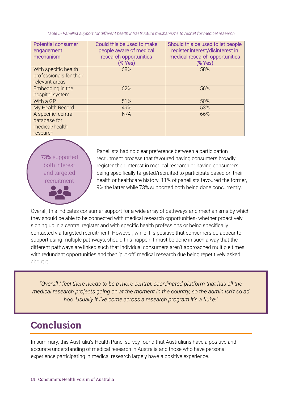*Table 5- Panellist support for different health infrastructure mechanisms to recruit for medical research*

| <b>Potential consumer</b><br>engagement<br>mechanism              | Could this be used to make<br>people aware of medical<br>research opportunities<br>(% Yes) | Should this be used to let people<br>register interest/disinterest in<br>medical research opportunities<br>(% Yes) |
|-------------------------------------------------------------------|--------------------------------------------------------------------------------------------|--------------------------------------------------------------------------------------------------------------------|
| With specific health<br>professionals for their<br>relevant areas | 68%                                                                                        | 58%                                                                                                                |
| Embedding in the<br>hospital system                               | 62%                                                                                        | 56%                                                                                                                |
| With a GP                                                         | 51%                                                                                        | 50%                                                                                                                |
| My Health Record                                                  | 49%                                                                                        | 53%                                                                                                                |
| A specific, central<br>database for<br>medical/health<br>research | N/A                                                                                        | 66%                                                                                                                |

73% supported both interest and targeted recruitment

Panellists had no clear preference between a participation recruitment process that favoured having consumers broadly register their interest in medical research or having consumers being specifically targeted/recruited to participate based on their health or healthcare history. 11% of panellists favoured the former, 9% the latter while 73% supported both being done concurrently.

Overall, this indicates consumer support for a wide array of pathways and mechanisms by which they should be able to be connected with medical research opportunities- whether proactively signing up in a central register and with specific health professions or being specifically contacted via targeted recruitment. However, while it is positive that consumers do appear to support using multiple pathways, should this happen it must be done in such a way that the different pathways are linked such that individual consumers aren't approached multiple times with redundant opportunities and then 'put off' medical research due being repetitively asked about it.

*"Overall I feel there needs to be a more central, coordinated platform that has all the medical research projects going on at the moment in the country, so the admin isn't so ad hoc. Usually if I've come across a research program it's a fluke!"*

### <span id="page-13-0"></span>**Conclusion**

In summary, this Australia's Health Panel survey found that Australians have a positive and accurate understanding of medical research in Australia and those who have personal experience participating in medical research largely have a positive experience.